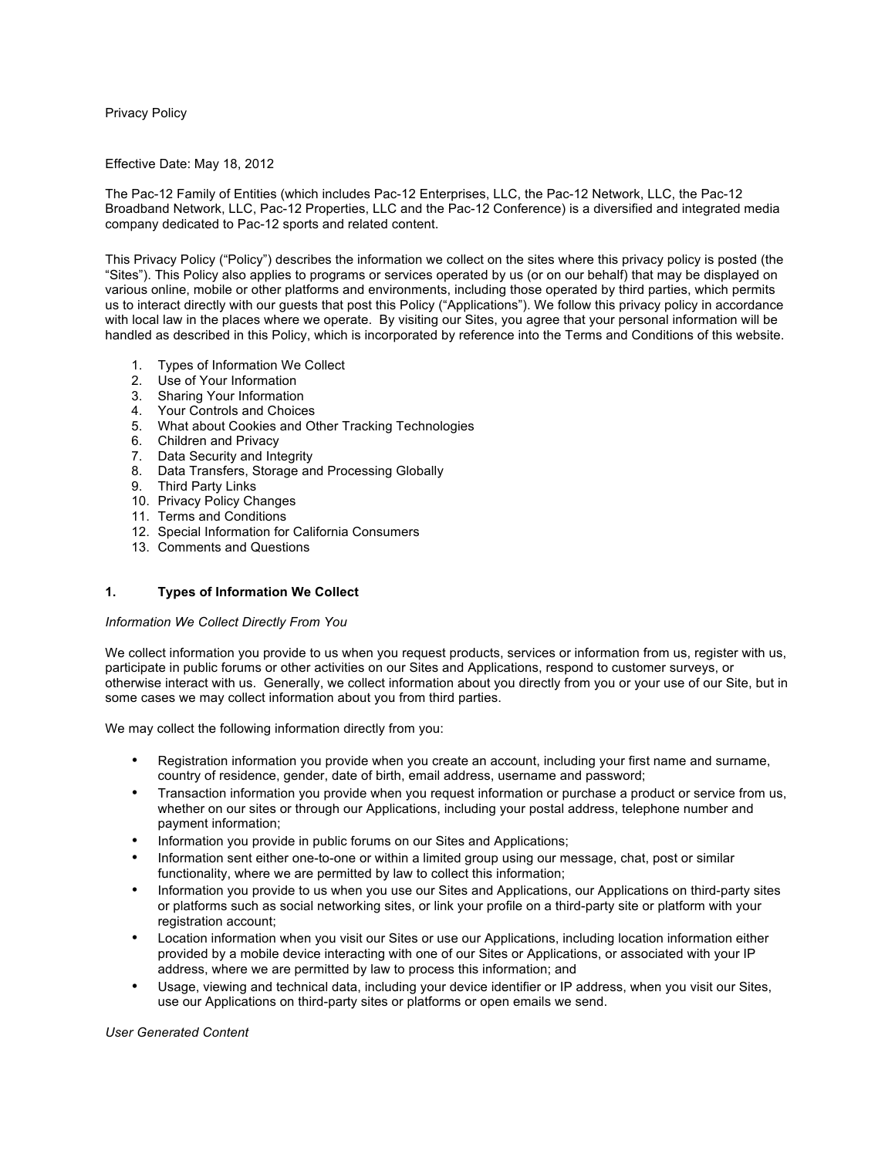## Privacy Policy

### Effective Date: May 18, 2012

The Pac-12 Family of Entities (which includes Pac-12 Enterprises, LLC, the Pac-12 Network, LLC, the Pac-12 Broadband Network, LLC, Pac-12 Properties, LLC and the Pac-12 Conference) is a diversified and integrated media company dedicated to Pac-12 sports and related content.

This Privacy Policy ("Policy") describes the information we collect on the sites where this privacy policy is posted (the "Sites"). This Policy also applies to programs or services operated by us (or on our behalf) that may be displayed on various online, mobile or other platforms and environments, including those operated by third parties, which permits us to interact directly with our guests that post this Policy ("Applications"). We follow this privacy policy in accordance with local law in the places where we operate. By visiting our Sites, you agree that your personal information will be handled as described in this Policy, which is incorporated by reference into the Terms and Conditions of this website.

- 1. Types of Information We Collect
- 2. Use of Your Information
- 3. Sharing Your Information
- 4. Your Controls and Choices
- 5. What about Cookies and Other Tracking Technologies
- 6. Children and Privacy
- 7. Data Security and Integrity
- 8. Data Transfers, Storage and Processing Globally
- 9. Third Party Links
- 10. Privacy Policy Changes
- 11. Terms and Conditions
- 12. Special Information for California Consumers
- 13. Comments and Questions

# **1. Types of Information We Collect**

#### *Information We Collect Directly From You*

We collect information you provide to us when you request products, services or information from us, register with us, participate in public forums or other activities on our Sites and Applications, respond to customer surveys, or otherwise interact with us. Generally, we collect information about you directly from you or your use of our Site, but in some cases we may collect information about you from third parties.

We may collect the following information directly from you:

- Registration information you provide when you create an account, including your first name and surname, country of residence, gender, date of birth, email address, username and password;
- Transaction information you provide when you request information or purchase a product or service from us, whether on our sites or through our Applications, including your postal address, telephone number and payment information;
- Information you provide in public forums on our Sites and Applications;
- Information sent either one-to-one or within a limited group using our message, chat, post or similar functionality, where we are permitted by law to collect this information;
- Information you provide to us when you use our Sites and Applications, our Applications on third-party sites or platforms such as social networking sites, or link your profile on a third-party site or platform with your registration account;
- Location information when you visit our Sites or use our Applications, including location information either provided by a mobile device interacting with one of our Sites or Applications, or associated with your IP address, where we are permitted by law to process this information; and
- Usage, viewing and technical data, including your device identifier or IP address, when you visit our Sites, use our Applications on third-party sites or platforms or open emails we send.

*User Generated Content*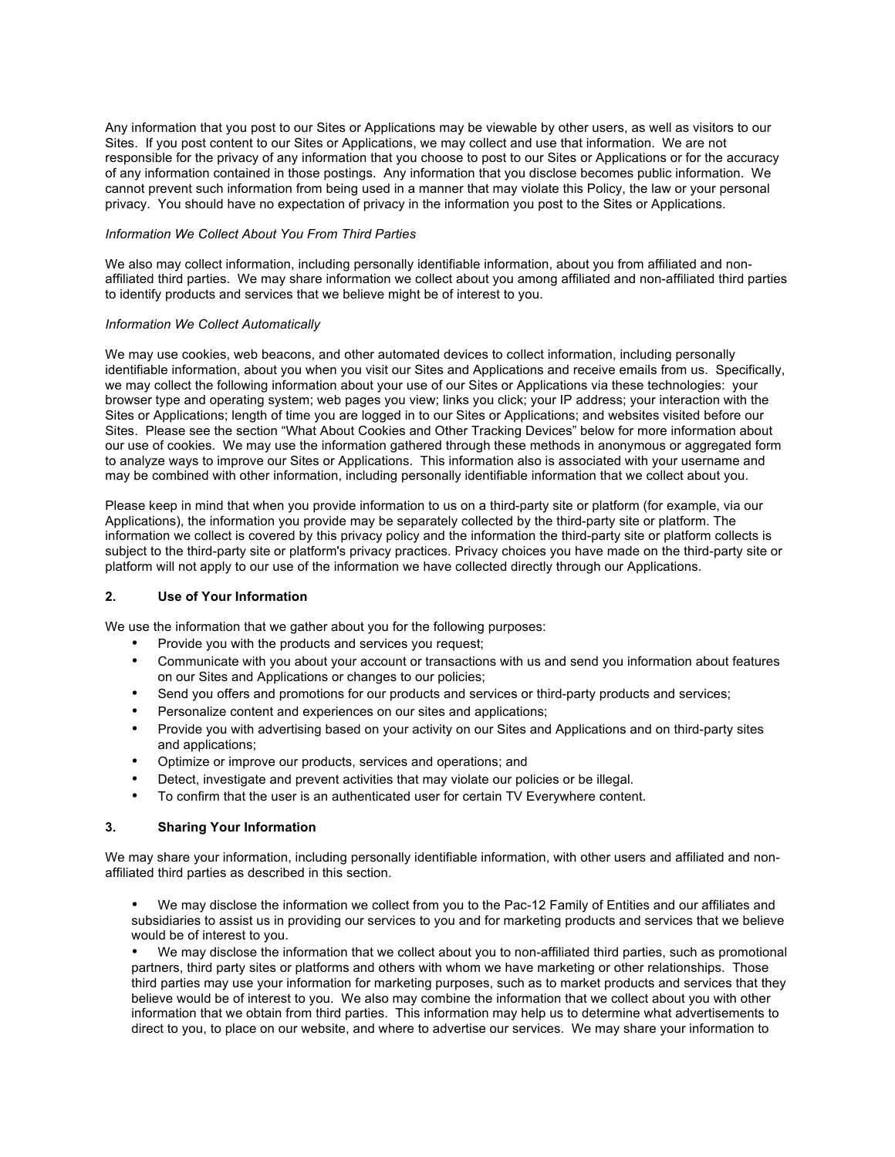Any information that you post to our Sites or Applications may be viewable by other users, as well as visitors to our Sites. If you post content to our Sites or Applications, we may collect and use that information. We are not responsible for the privacy of any information that you choose to post to our Sites or Applications or for the accuracy of any information contained in those postings. Any information that you disclose becomes public information. We cannot prevent such information from being used in a manner that may violate this Policy, the law or your personal privacy. You should have no expectation of privacy in the information you post to the Sites or Applications.

#### *Information We Collect About You From Third Parties*

We also may collect information, including personally identifiable information, about you from affiliated and nonaffiliated third parties. We may share information we collect about you among affiliated and non-affiliated third parties to identify products and services that we believe might be of interest to you.

#### *Information We Collect Automatically*

We may use cookies, web beacons, and other automated devices to collect information, including personally identifiable information, about you when you visit our Sites and Applications and receive emails from us. Specifically, we may collect the following information about your use of our Sites or Applications via these technologies: your browser type and operating system; web pages you view; links you click; your IP address; your interaction with the Sites or Applications; length of time you are logged in to our Sites or Applications; and websites visited before our Sites. Please see the section "What About Cookies and Other Tracking Devices" below for more information about our use of cookies. We may use the information gathered through these methods in anonymous or aggregated form to analyze ways to improve our Sites or Applications. This information also is associated with your username and may be combined with other information, including personally identifiable information that we collect about you.

Please keep in mind that when you provide information to us on a third-party site or platform (for example, via our Applications), the information you provide may be separately collected by the third-party site or platform. The information we collect is covered by this privacy policy and the information the third-party site or platform collects is subject to the third-party site or platform's privacy practices. Privacy choices you have made on the third-party site or platform will not apply to our use of the information we have collected directly through our Applications.

### **2. Use of Your Information**

We use the information that we gather about you for the following purposes:

- Provide you with the products and services you request;
- Communicate with you about your account or transactions with us and send you information about features on our Sites and Applications or changes to our policies;
- Send you offers and promotions for our products and services or third-party products and services;
- Personalize content and experiences on our sites and applications;
- Provide you with advertising based on your activity on our Sites and Applications and on third-party sites and applications;
- Optimize or improve our products, services and operations; and
- Detect, investigate and prevent activities that may violate our policies or be illegal.
- To confirm that the user is an authenticated user for certain TV Everywhere content.

# **3. Sharing Your Information**

We may share your information, including personally identifiable information, with other users and affiliated and nonaffiliated third parties as described in this section.

• We may disclose the information we collect from you to the Pac-12 Family of Entities and our affiliates and subsidiaries to assist us in providing our services to you and for marketing products and services that we believe would be of interest to you.

• We may disclose the information that we collect about you to non-affiliated third parties, such as promotional partners, third party sites or platforms and others with whom we have marketing or other relationships. Those third parties may use your information for marketing purposes, such as to market products and services that they believe would be of interest to you. We also may combine the information that we collect about you with other information that we obtain from third parties. This information may help us to determine what advertisements to direct to you, to place on our website, and where to advertise our services. We may share your information to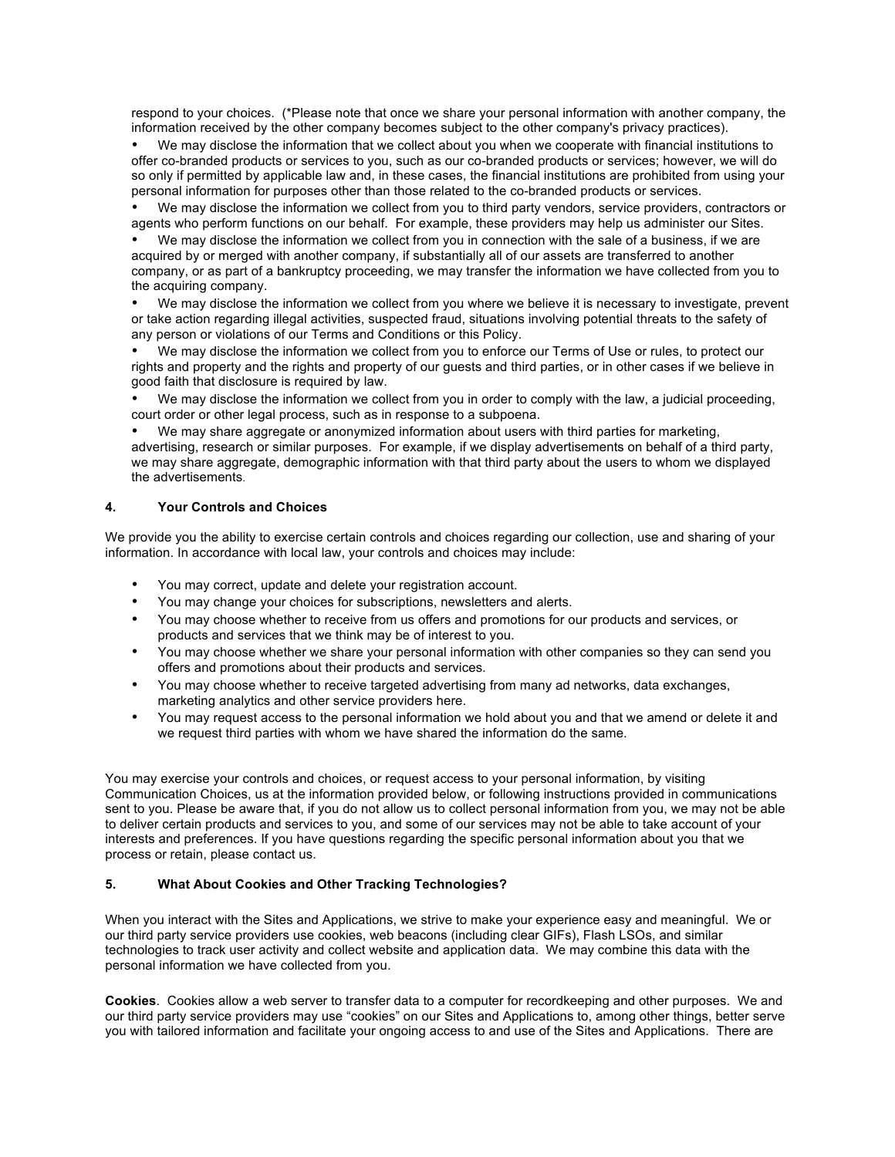respond to your choices. (\*Please note that once we share your personal information with another company, the information received by the other company becomes subject to the other company's privacy practices).

• We may disclose the information that we collect about you when we cooperate with financial institutions to offer co-branded products or services to you, such as our co-branded products or services; however, we will do so only if permitted by applicable law and, in these cases, the financial institutions are prohibited from using your personal information for purposes other than those related to the co-branded products or services.

• We may disclose the information we collect from you to third party vendors, service providers, contractors or agents who perform functions on our behalf. For example, these providers may help us administer our Sites.

• We may disclose the information we collect from you in connection with the sale of a business, if we are acquired by or merged with another company, if substantially all of our assets are transferred to another company, or as part of a bankruptcy proceeding, we may transfer the information we have collected from you to the acquiring company.

• We may disclose the information we collect from you where we believe it is necessary to investigate, prevent or take action regarding illegal activities, suspected fraud, situations involving potential threats to the safety of any person or violations of our Terms and Conditions or this Policy.

• We may disclose the information we collect from you to enforce our Terms of Use or rules, to protect our rights and property and the rights and property of our guests and third parties, or in other cases if we believe in good faith that disclosure is required by law.

• We may disclose the information we collect from you in order to comply with the law, a judicial proceeding, court order or other legal process, such as in response to a subpoena.

• We may share aggregate or anonymized information about users with third parties for marketing, advertising, research or similar purposes. For example, if we display advertisements on behalf of a third party, we may share aggregate, demographic information with that third party about the users to whom we displayed the advertisements.

## **4. Your Controls and Choices**

We provide you the ability to exercise certain controls and choices regarding our collection, use and sharing of your information. In accordance with local law, your controls and choices may include:

- You may correct, update and delete your registration account.
- You may change your choices for subscriptions, newsletters and alerts.
- You may choose whether to receive from us offers and promotions for our products and services, or products and services that we think may be of interest to you.
- You may choose whether we share your personal information with other companies so they can send you offers and promotions about their products and services.
- You may choose whether to receive targeted advertising from many ad networks, data exchanges, marketing analytics and other service providers here.
- You may request access to the personal information we hold about you and that we amend or delete it and we request third parties with whom we have shared the information do the same.

You may exercise your controls and choices, or request access to your personal information, by visiting Communication Choices, us at the information provided below, or following instructions provided in communications sent to you. Please be aware that, if you do not allow us to collect personal information from you, we may not be able to deliver certain products and services to you, and some of our services may not be able to take account of your interests and preferences. If you have questions regarding the specific personal information about you that we process or retain, please contact us.

## **5. What About Cookies and Other Tracking Technologies?**

When you interact with the Sites and Applications, we strive to make your experience easy and meaningful. We or our third party service providers use cookies, web beacons (including clear GIFs), Flash LSOs, and similar technologies to track user activity and collect website and application data. We may combine this data with the personal information we have collected from you.

**Cookies**. Cookies allow a web server to transfer data to a computer for recordkeeping and other purposes. We and our third party service providers may use "cookies" on our Sites and Applications to, among other things, better serve you with tailored information and facilitate your ongoing access to and use of the Sites and Applications. There are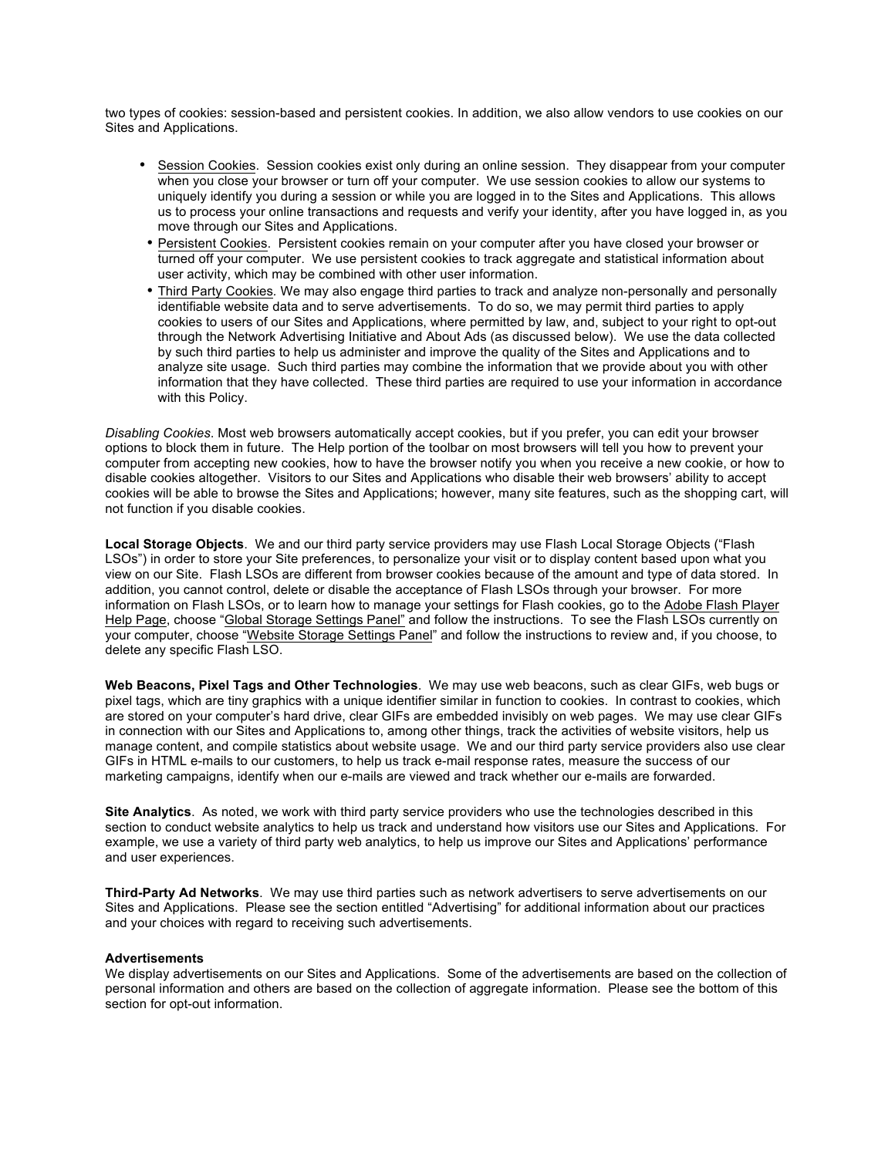two types of cookies: session-based and persistent cookies. In addition, we also allow vendors to use cookies on our Sites and Applications.

- Session Cookies. Session cookies exist only during an online session. They disappear from your computer when you close your browser or turn off your computer. We use session cookies to allow our systems to uniquely identify you during a session or while you are logged in to the Sites and Applications. This allows us to process your online transactions and requests and verify your identity, after you have logged in, as you move through our Sites and Applications.
- Persistent Cookies. Persistent cookies remain on your computer after you have closed your browser or turned off your computer. We use persistent cookies to track aggregate and statistical information about user activity, which may be combined with other user information.
- Third Party Cookies*.* We may also engage third parties to track and analyze non-personally and personally identifiable website data and to serve advertisements. To do so, we may permit third parties to apply cookies to users of our Sites and Applications, where permitted by law, and, subject to your right to opt-out through the Network Advertising Initiative and About Ads (as discussed below). We use the data collected by such third parties to help us administer and improve the quality of the Sites and Applications and to analyze site usage. Such third parties may combine the information that we provide about you with other information that they have collected. These third parties are required to use your information in accordance with this Policy.

*Disabling Cookies*. Most web browsers automatically accept cookies, but if you prefer, you can edit your browser options to block them in future. The Help portion of the toolbar on most browsers will tell you how to prevent your computer from accepting new cookies, how to have the browser notify you when you receive a new cookie, or how to disable cookies altogether. Visitors to our Sites and Applications who disable their web browsers' ability to accept cookies will be able to browse the Sites and Applications; however, many site features, such as the shopping cart, will not function if you disable cookies.

**Local Storage Objects**. We and our third party service providers may use Flash Local Storage Objects ("Flash LSOs") in order to store your Site preferences, to personalize your visit or to display content based upon what you view on our Site. Flash LSOs are different from browser cookies because of the amount and type of data stored. In addition, you cannot control, delete or disable the acceptance of Flash LSOs through your browser. For more information on Flash LSOs, or to learn how to manage your settings for Flash cookies, go to the Adobe Flash Player Help Page, choose "Global Storage Settings Panel" and follow the instructions. To see the Flash LSOs currently on your computer, choose "Website Storage Settings Panel" and follow the instructions to review and, if you choose, to delete any specific Flash LSO.

**Web Beacons, Pixel Tags and Other Technologies**. We may use web beacons, such as clear GIFs, web bugs or pixel tags, which are tiny graphics with a unique identifier similar in function to cookies. In contrast to cookies, which are stored on your computer's hard drive, clear GIFs are embedded invisibly on web pages. We may use clear GIFs in connection with our Sites and Applications to, among other things, track the activities of website visitors, help us manage content, and compile statistics about website usage. We and our third party service providers also use clear GIFs in HTML e-mails to our customers, to help us track e-mail response rates, measure the success of our marketing campaigns, identify when our e-mails are viewed and track whether our e-mails are forwarded.

**Site Analytics**. As noted, we work with third party service providers who use the technologies described in this section to conduct website analytics to help us track and understand how visitors use our Sites and Applications. For example, we use a variety of third party web analytics, to help us improve our Sites and Applications' performance and user experiences.

**Third-Party Ad Networks**. We may use third parties such as network advertisers to serve advertisements on our Sites and Applications. Please see the section entitled "Advertising" for additional information about our practices and your choices with regard to receiving such advertisements.

#### **Advertisements**

We display advertisements on our Sites and Applications. Some of the advertisements are based on the collection of personal information and others are based on the collection of aggregate information. Please see the bottom of this section for opt-out information.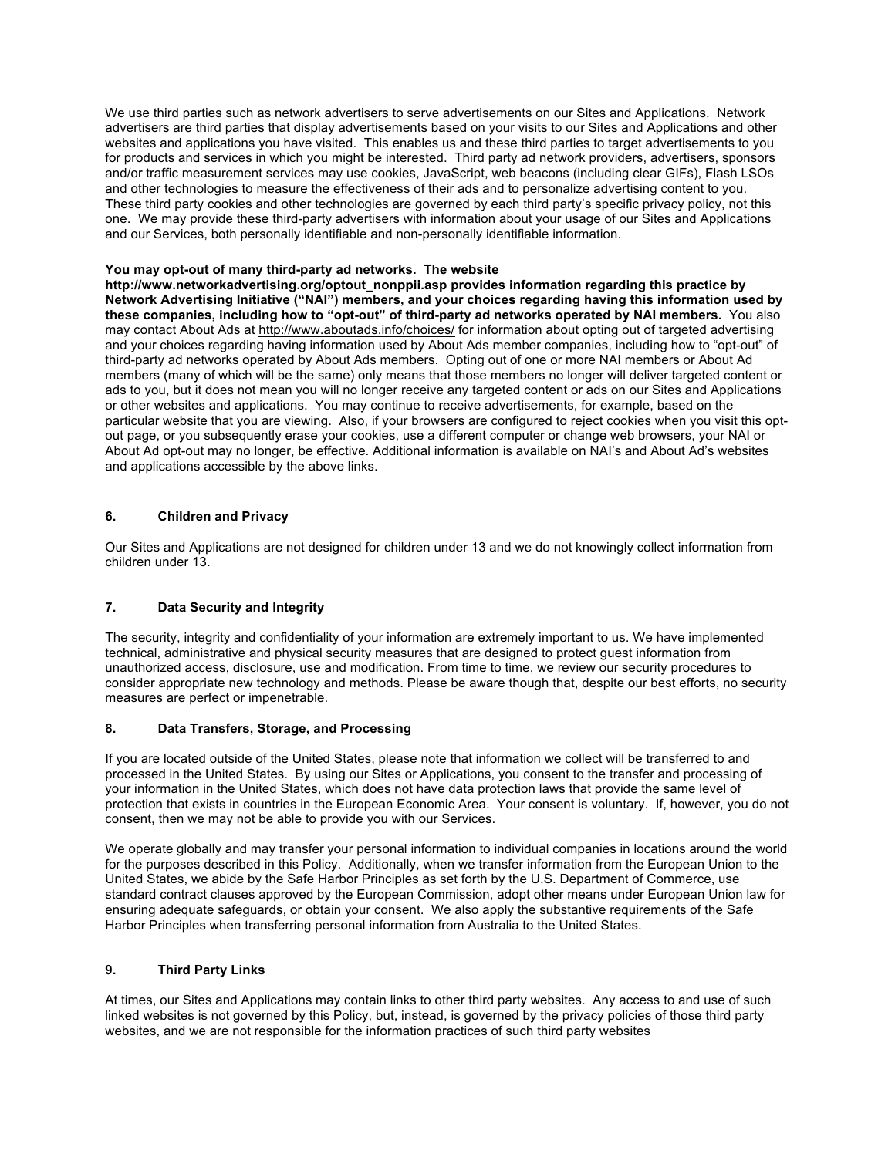We use third parties such as network advertisers to serve advertisements on our Sites and Applications. Network advertisers are third parties that display advertisements based on your visits to our Sites and Applications and other websites and applications you have visited. This enables us and these third parties to target advertisements to you for products and services in which you might be interested. Third party ad network providers, advertisers, sponsors and/or traffic measurement services may use cookies, JavaScript, web beacons (including clear GIFs), Flash LSOs and other technologies to measure the effectiveness of their ads and to personalize advertising content to you. These third party cookies and other technologies are governed by each third party's specific privacy policy, not this one. We may provide these third-party advertisers with information about your usage of our Sites and Applications and our Services, both personally identifiable and non-personally identifiable information.

### **You may opt-out of many third-party ad networks. The website**

**http://www.networkadvertising.org/optout\_nonppii.asp provides information regarding this practice by Network Advertising Initiative ("NAI") members, and your choices regarding having this information used by these companies, including how to "opt-out" of third-party ad networks operated by NAI members.** You also may contact About Ads at http://www.aboutads.info/choices/ for information about opting out of targeted advertising and your choices regarding having information used by About Ads member companies, including how to "opt-out" of third-party ad networks operated by About Ads members. Opting out of one or more NAI members or About Ad members (many of which will be the same) only means that those members no longer will deliver targeted content or ads to you, but it does not mean you will no longer receive any targeted content or ads on our Sites and Applications or other websites and applications. You may continue to receive advertisements, for example, based on the particular website that you are viewing. Also, if your browsers are configured to reject cookies when you visit this optout page, or you subsequently erase your cookies, use a different computer or change web browsers, your NAI or About Ad opt-out may no longer, be effective. Additional information is available on NAI's and About Ad's websites and applications accessible by the above links.

# **6. Children and Privacy**

Our Sites and Applications are not designed for children under 13 and we do not knowingly collect information from children under 13.

# **7. Data Security and Integrity**

The security, integrity and confidentiality of your information are extremely important to us. We have implemented technical, administrative and physical security measures that are designed to protect guest information from unauthorized access, disclosure, use and modification. From time to time, we review our security procedures to consider appropriate new technology and methods. Please be aware though that, despite our best efforts, no security measures are perfect or impenetrable.

### **8. Data Transfers, Storage, and Processing**

If you are located outside of the United States, please note that information we collect will be transferred to and processed in the United States. By using our Sites or Applications, you consent to the transfer and processing of your information in the United States, which does not have data protection laws that provide the same level of protection that exists in countries in the European Economic Area. Your consent is voluntary. If, however, you do not consent, then we may not be able to provide you with our Services.

We operate globally and may transfer your personal information to individual companies in locations around the world for the purposes described in this Policy. Additionally, when we transfer information from the European Union to the United States, we abide by the Safe Harbor Principles as set forth by the U.S. Department of Commerce, use standard contract clauses approved by the European Commission, adopt other means under European Union law for ensuring adequate safeguards, or obtain your consent. We also apply the substantive requirements of the Safe Harbor Principles when transferring personal information from Australia to the United States.

### **9. Third Party Links**

At times, our Sites and Applications may contain links to other third party websites. Any access to and use of such linked websites is not governed by this Policy, but, instead, is governed by the privacy policies of those third party websites, and we are not responsible for the information practices of such third party websites